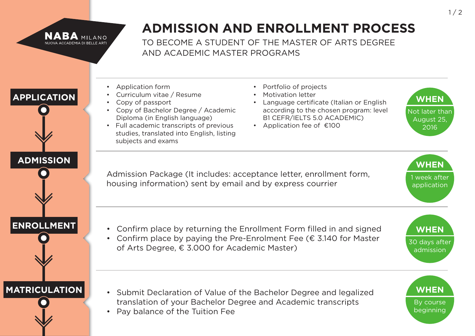